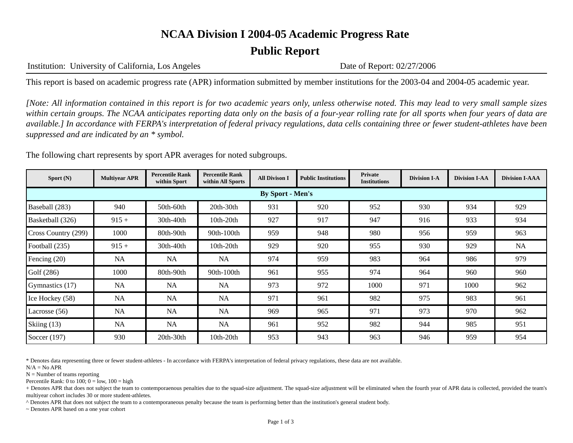#### **NCAA Division I 2004-05 Academic Progress Rate**

#### **Public Report**

Institution: University of California, Los Angeles Date of Report: 02/27/2006

This report is based on academic progress rate (APR) information submitted by member institutions for the 2003-04 and 2004-05 academic year.

*[Note: All information contained in this report is for two academic years only, unless otherwise noted. This may lead to very small sample sizes within certain groups. The NCAA anticipates reporting data only on the basis of a four-year rolling rate for all sports when four years of data are available.] In accordance with FERPA's interpretation of federal privacy regulations, data cells containing three or fewer student-athletes have been suppressed and are indicated by an \* symbol.* 

The following chart represents by sport APR averages for noted subgroups.

| Sport $(N)$             | <b>Multiyear APR</b> | <b>Percentile Rank</b><br>within Sport | <b>Percentile Rank</b><br>within All Sports | <b>All Divison I</b> | <b>Public Institutions</b> | Private<br><b>Institutions</b> | <b>Division I-A</b> | <b>Division I-AA</b> | <b>Division I-AAA</b> |  |
|-------------------------|----------------------|----------------------------------------|---------------------------------------------|----------------------|----------------------------|--------------------------------|---------------------|----------------------|-----------------------|--|
| <b>By Sport - Men's</b> |                      |                                        |                                             |                      |                            |                                |                     |                      |                       |  |
| Baseball (283)          | 940                  | 50th-60th                              | $20th-30th$                                 | 931                  | 920                        | 952                            | 930                 | 934                  | 929                   |  |
| Basketball (326)        | $915 +$              | 30th-40th                              | $10th-20th$                                 | 927                  | 917                        | 947                            | 916                 | 933                  | 934                   |  |
| Cross Country (299)     | 1000                 | 80th-90th                              | 90th-100th                                  | 959                  | 948                        | 980                            | 956                 | 959                  | 963                   |  |
| Football (235)          | $915 +$              | 30th-40th                              | $10th-20th$                                 | 929                  | 920                        | 955                            | 930                 | 929                  | NA                    |  |
| Fencing (20)            | <b>NA</b>            | <b>NA</b>                              | <b>NA</b>                                   | 974                  | 959                        | 983                            | 964                 | 986                  | 979                   |  |
| Golf (286)              | 1000                 | 80th-90th                              | 90th-100th                                  | 961                  | 955                        | 974                            | 964                 | 960                  | 960                   |  |
| Gymnastics (17)         | <b>NA</b>            | <b>NA</b>                              | <b>NA</b>                                   | 973                  | 972                        | 1000                           | 971                 | 1000                 | 962                   |  |
| Ice Hockey (58)         | NA                   | NA                                     | NA                                          | 971                  | 961                        | 982                            | 975                 | 983                  | 961                   |  |
| Lacrosse $(56)$         | NA                   | NA                                     | <b>NA</b>                                   | 969                  | 965                        | 971                            | 973                 | 970                  | 962                   |  |
| Skiing (13)             | <b>NA</b>            | <b>NA</b>                              | <b>NA</b>                                   | 961                  | 952                        | 982                            | 944                 | 985                  | 951                   |  |
| Soccer $(197)$          | 930                  | $20th-30th$                            | $10th-20th$                                 | 953                  | 943                        | 963                            | 946                 | 959                  | 954                   |  |

\* Denotes data representing three or fewer student-athletes - In accordance with FERPA's interpretation of federal privacy regulations, these data are not available.

 $N/A = No$  APR

 $N =$  Number of teams reporting

Percentile Rank: 0 to 100;  $0 =$  low,  $100 =$  high

+ Denotes APR that does not subject the team to contemporaenous penalties due to the squad-size adjustment. The squad-size adjustment will be eliminated when the fourth year of APR data is collected, provided the team's multiyear cohort includes 30 or more student-athletes.

^ Denotes APR that does not subject the team to a contemporaneous penalty because the team is performing better than the institution's general student body.

~ Denotes APR based on a one year cohort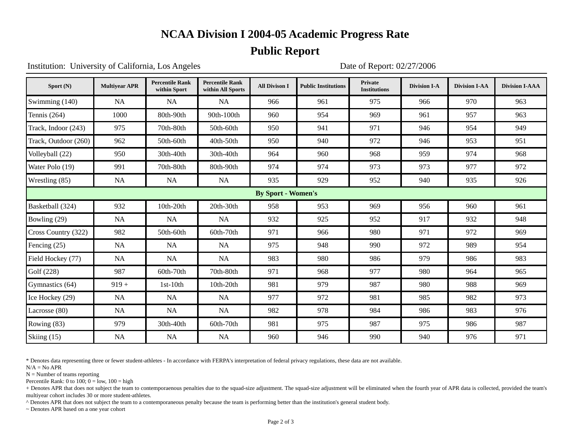# **NCAA Division I 2004-05 Academic Progress Rate**

# **Public Report**

Institution: University of California, Los Angeles Date of Report: 02/27/2006

| Sport (N)                 | <b>Multiyear APR</b> | <b>Percentile Rank</b><br>within Sport | <b>Percentile Rank</b><br>within All Sports | <b>All Divison I</b> | <b>Public Institutions</b> | <b>Private</b><br><b>Institutions</b> | <b>Division I-A</b> | <b>Division I-AA</b> | <b>Division I-AAA</b> |  |
|---------------------------|----------------------|----------------------------------------|---------------------------------------------|----------------------|----------------------------|---------------------------------------|---------------------|----------------------|-----------------------|--|
| Swimming (140)            | NA                   | NA                                     | <b>NA</b>                                   | 966                  | 961                        | 975                                   | 966                 | 970                  | 963                   |  |
| Tennis $(264)$            | 1000                 | 80th-90th                              | 90th-100th                                  | 960                  | 954                        | 969                                   | 961                 | 957                  | 963                   |  |
| Track, Indoor (243)       | 975                  | 70th-80th                              | 50th-60th                                   | 950                  | 941                        | 971                                   | 946                 | 954                  | 949                   |  |
| Track, Outdoor (260)      | 962                  | 50th-60th                              | 40th-50th                                   | 950                  | 940                        | 972                                   | 946                 | 953                  | 951                   |  |
| Volleyball (22)           | 950                  | 30th-40th                              | 30th-40th                                   | 964                  | 960                        | 968                                   | 959                 | 974                  | 968                   |  |
| Water Polo (19)           | 991                  | 70th-80th                              | 80th-90th                                   | 974                  | 974                        | 973                                   | 973                 | 977                  | 972                   |  |
| Wrestling (85)            | <b>NA</b>            | <b>NA</b>                              | <b>NA</b>                                   | 935                  | 929                        | 952                                   | 940                 | 935                  | 926                   |  |
| <b>By Sport - Women's</b> |                      |                                        |                                             |                      |                            |                                       |                     |                      |                       |  |
| Basketball (324)          | 932                  | 10th-20th                              | 20th-30th                                   | 958                  | 953                        | 969                                   | 956                 | 960                  | 961                   |  |
| Bowling (29)              | <b>NA</b>            | <b>NA</b>                              | <b>NA</b>                                   | 932                  | 925                        | 952                                   | 917                 | 932                  | 948                   |  |
| Cross Country (322)       | 982                  | 50th-60th                              | 60th-70th                                   | 971                  | 966                        | 980                                   | 971                 | 972                  | 969                   |  |
| Fencing $(25)$            | NA                   | <b>NA</b>                              | <b>NA</b>                                   | 975                  | 948                        | 990                                   | 972                 | 989                  | 954                   |  |
| Field Hockey (77)         | <b>NA</b>            | <b>NA</b>                              | <b>NA</b>                                   | 983                  | 980                        | 986                                   | 979                 | 986                  | 983                   |  |
| Golf $(228)$              | 987                  | 60th-70th                              | 70th-80th                                   | 971                  | 968                        | 977                                   | 980                 | 964                  | 965                   |  |
| Gymnastics (64)           | $919 +$              | $1st-10th$                             | 10th-20th                                   | 981                  | 979                        | 987                                   | 980                 | 988                  | 969                   |  |
| Ice Hockey (29)           | <b>NA</b>            | <b>NA</b>                              | <b>NA</b>                                   | 977                  | 972                        | 981                                   | 985                 | 982                  | 973                   |  |
| Lacrosse (80)             | <b>NA</b>            | NA                                     | <b>NA</b>                                   | 982                  | 978                        | 984                                   | 986                 | 983                  | 976                   |  |
| Rowing $(83)$             | 979                  | 30th-40th                              | 60th-70th                                   | 981                  | 975                        | 987                                   | 975                 | 986                  | 987                   |  |
| Skiing (15)               | NA                   | NA                                     | <b>NA</b>                                   | 960                  | 946                        | 990                                   | 940                 | 976                  | 971                   |  |

\* Denotes data representing three or fewer student-athletes - In accordance with FERPA's interpretation of federal privacy regulations, these data are not available.

 $N/A = No$  APR

 $N =$  Number of teams reporting

Percentile Rank: 0 to 100;  $0 =$  low,  $100 =$  high

+ Denotes APR that does not subject the team to contemporaenous penalties due to the squad-size adjustment. The squad-size adjustment will be eliminated when the fourth year of APR data is collected, provided the team's multiyear cohort includes 30 or more student-athletes.

^ Denotes APR that does not subject the team to a contemporaneous penalty because the team is performing better than the institution's general student body.

~ Denotes APR based on a one year cohort